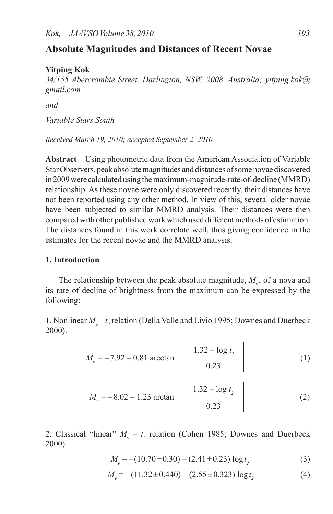# **Absolute Magnitudes and Distances of Recent Novae**

# **Yitping Kok**

*34/155 Abercrombie Street, Darlington, NSW, 2008, Australia; yitping.kok@ gmail.com*

*and*

*Variable Stars South*

*Received March 19, 2010; accepted September 2, 2010*

**Abstract** Using photometric data from the American Association of Variable Star Observers, peak absolute magnitudes and distances of some novae discovered in2009were calculatedusingthemaximum-magnitude-rate-of-decline (MMRD) relationship. As these novae were only discovered recently, their distances have not been reported using any other method. In view of this, several older novae have been subjected to similar MMRD analysis. Their distances were then compared with other published work which used different methods of estimation. The distances found in this work correlate well, thus giving confidence in the estimates for the recent novae and the MMRD analysis.

### **1. Introduction**

The relationship between the peak absolute magnitude,  $M_{\nu}$ , of a nova and its rate of decline of brightness from the maximum can be expressed by the following:

1. Nonlinear  $M_v - t_2$  relation (Della Valle and Livio 1995; Downes and Duerbeck 2000).

$$
M_{v} = -7.92 - 0.81 \arccan \left[ \frac{1.32 - \log t_{2}}{0.23} \right]
$$
 (1)

$$
M_{\nu} = -8.02 - 1.23 \arctan \left[ \frac{1.32 - \log t_2}{0.23} \right]
$$
 (2)

2. Classical "linear"  $M_v - t_2$  relation (Cohen 1985; Downes and Duerbeck 2000).

$$
M_v = -(10.70 \pm 0.30) - (2.41 \pm 0.23) \log t_2 \tag{3}
$$

$$
M_v = -(11.32 \pm 0.440) - (2.55 \pm 0.323) \log t_2 \tag{4}
$$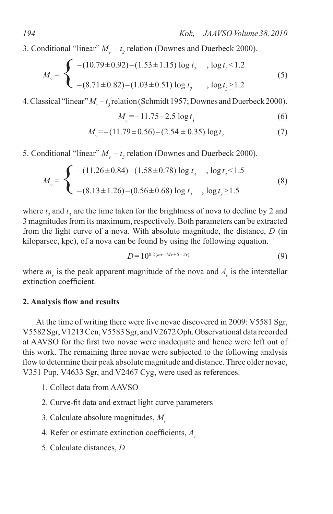3. Conditional "linear"  $M_v - t_2$  relation (Downes and Duerbeck 2000).

$$
M_v = \begin{cases}\n-(10.79 \pm 0.92) - (1.53 \pm 1.15) \log t_2, & \log t_2 < 1.2 \\
-(8.71 \pm 0.82) - (1.03 \pm 0.51) \log t_2, & \log t_2 \ge 1.2\n\end{cases}\n\tag{5}
$$

4. Classical "linear"  $M_v - t_3$  relation (Schmidt 1957; Downes and Duerbeck 2000).

$$
M_v = -11.75 - 2.5 \log t_3 \tag{6}
$$

$$
M_{v} = -(11.79 \pm 0.56) - (2.54 \pm 0.35) \log t_{3}
$$
 (7)

5. Conditional "linear"  $M_v - t_3$  relation (Downes and Duerbeck 2000).

$$
M_{v} = \begin{cases}\n-(11.26 \pm 0.84) - (1.58 \pm 0.78) \log t_{3} , \log t_{3} < 1.5 \\
-(8.13 \pm 1.26) - (0.56 \pm 0.68) \log t_{3} , \log t_{3} \ge 1.5\n\end{cases}
$$
\n(8)

where  $t_2$  and  $t_3$  are the time taken for the brightness of nova to decline by 2 and 3 magnitudes from its maximum, respectively. Both parameters can be extracted from the light curve of a nova. With absolute magnitude, the distance, *D* (in kiloparsec, kpc), of a nova can be found by using the following equation.

$$
D = 10^{0.2(mv - Mv + 5 - Av)} \tag{9}
$$

where  $m_{\nu}$  is the peak apparent magnitude of the nova and  $A_{\nu}$  is the interstellar extinction coefficient.

#### **2. Analysis flow and results**

At the time of writing there were five novae discovered in 2009: V5581 Sgr, V5582Sgr,V1213Cen,V5583Sgr, andV2672Oph.Observational data recorded at AAVSO for the first two novae were inadequate and hence were left out of this work. The remaining three novae were subjected to the following analysis flow to determine their peak absolute magnitude and distance. Three older novae, V351 Pup, V4633 Sgr, and V2467 Cyg, were used as references.

- 1. Collect data from AAVSO
- 2. Curve-fit data and extract light curve parameters
- 3. Calculate absolute magnitudes,  $M_{v}$
- 4. Refer or estimate extinction coefficients, *Av*
- 5. Calculate distances, *D*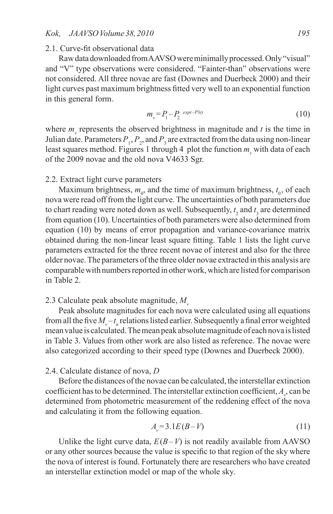#### 2.1. Curve-fit observational data

Raw data downloaded from AAVSO were minimally processed. Only "visual" and "V" type observations were considered. "Fainter-than" observations were not considered. All three novae are fast (Downes and Duerbeck 2000) and their light curves past maximum brightness fitted very well to an exponential function in this general form.

$$
m_v = P_1 - P_2 \exp(-P_3 t) \tag{10}
$$

where  $m<sub>v</sub>$  represents the observed brightness in magnitude and  $t$  is the time in Julian date. Parameters  $P_1$ ,  $P_2$ , and  $P_3$  are extracted from the data using non-linear least squares method. Figures 1 through 4 plot the function  $m_v$  with data of each of the 2009 novae and the old nova V4633 Sgr.

#### 2.2. Extract light curve parameters

Maximum brightness,  $m_0$ , and the time of maximum brightness,  $t_0$ , of each nova were read off from the light curve.The uncertainties of both parameters due to chart reading were noted down as well. Subsequently,  $t_2$  and  $t_3$  are determined from equation (10). Uncertainties of both parameters were also determined from equation (10) by means of error propagation and variance-covariance matrix obtained during the non-linear least square fitting. Table 1 lists the light curve parameters extracted for the three recent novae of interest and also for the three older novae. The parameters of the three older novae extracted in this analysis are comparable with numbers reported in other work, which are listed for comparison in Table 2.

# 2.3 Calculate peak absolute magnitude,  $M_{v}$

Peak absolute magnitudes for each nova were calculated using all equations from all the five  $M_v - t_n$  relations listed earlier. Subsequently a final error weighted mean value is calculated. The mean peak absolute magnitude of each nova is listed in Table 3. Values from other work are also listed as reference. The novae were also categorized according to their speed type (Downes and Duerbeck 2000).

## 2.4. Calculate distance of nova, *D*

Before the distances of the novae can be calculated, the interstellar extinction coefficient has to be determined. The interstellar extinction coefficient, *Av* , can be determined from photometric measurement of the reddening effect of the nova and calculating it from the following equation.

$$
A_v = 3.1E(B-V) \tag{11}
$$

Unlike the light curve data,  $E(B-V)$  is not readily available from AAVSO or any other sources because the value is specific to that region of the sky where the nova of interest is found. Fortunately there are researchers who have created an interstellar extinction model or map of the whole sky.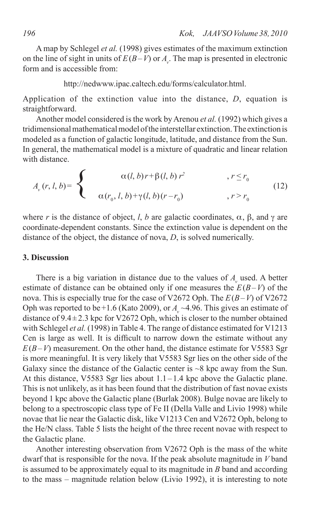A map by Schlegel *et al.* (1998) gives estimates of the maximum extinction on the line of sight in units of  $E(B-V)$  or  $A<sub>v</sub>$ . The map is presented in electronic form and is accessible from:

http://nedwww.ipac.caltech.edu/forms/calculator.html.

Application of the extinction value into the distance, *D*, equation is straightforward.

Another model considered is the work by Arenou *et al.* (1992) which gives a tridimensional mathematical model of the interstellar extinction. The extinction is modeled as a function of galactic longitude, latitude, and distance from the Sun. In general, the mathematical model is a mixture of quadratic and linear relation with distance.

$$
A_{\nu}(r, l, b) = \begin{cases} \alpha(l, b)r + \beta(l, b)r^2, & r \leq r_0 \\ \alpha(r_0, l, b) + \gamma(l, b)(r - r_0), & r > r_0 \end{cases}
$$
(12)

where *r* is the distance of object, *l*, *b* are galactic coordinates,  $\alpha$ ,  $\beta$ , and  $\gamma$  are coordinate-dependent constants. Since the extinction value is dependent on the distance of the object, the distance of nova, *D*, is solved numerically.

# **3. Discussion**

There is a big variation in distance due to the values of *A*<sub>*x*</sub> used. A better estimate of distance can be obtained only if one measures the  $E(B-V)$  of the nova. This is especially true for the case of V2672 Oph. The *E*(*B*–*V*) of V2672 Oph was reported to be +1.6 (Kato 2009), or  $A_{av} \sim 4.96$ . This gives an estimate of distance of  $9.4 \pm 2.3$  kpc for V2672 Oph, which is closer to the number obtained with Schlegel *et al.* (1998) in Table 4. The range of distance estimated for V1213 Cen is large as well. It is difficult to narrow down the estimate without any  $E(B-V)$  measurement. On the other hand, the distance estimate for V5583 Sgr is more meaningful. It is very likely that V5583 Sgr lies on the other side of the Galaxy since the distance of the Galactic center is  $\sim$ 8 kpc away from the Sun. At this distance, V5583 Sgr lies about 1.1–1.4 kpc above the Galactic plane. This is not unlikely, as it has been found that the distribution of fast novae exists beyond 1 kpc above the Galactic plane (Burlak 2008). Bulge novae are likely to belong to a spectroscopic class type of Fe II (Della Valle and Livio 1998) while novae that lie near the Galactic disk, like V1213 Cen and V2672 Oph, belong to the He/N class. Table 5 lists the height of the three recent novae with respect to the Galactic plane.

Another interesting observation from V2672 Oph is the mass of the white dwarf that is responsible for the nova. If the peak absolute magnitude in *V* band is assumed to be approximately equal to its magnitude in *B* band and according to the mass – magnitude relation below (Livio 1992), it is interesting to note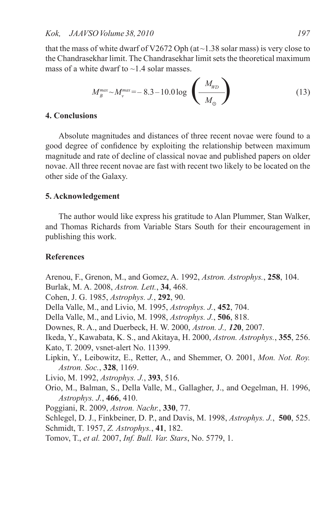that the mass of white dwarf of V2672 Oph (at $\sim$ 1.38 solar mass) is very close to the Chandrasekhar limit. The Chandrasekhar limit sets the theoretical maximum mass of a white dwarf to  $\sim$ 1.4 solar masses.

$$
M_B^{max} \sim M_{\nu}^{max} = -8.3 - 10.0 \log \left( \frac{M_{WD}}{M_{\odot}} \right) \tag{13}
$$

# **4. Conclusions**

Absolute magnitudes and distances of three recent novae were found to a good degree of confidence by exploiting the relationship between maximum magnitude and rate of decline of classical novae and published papers on older novae. All three recent novae are fast with recent two likely to be located on the other side of the Galaxy.

#### **5. Acknowledgement**

The author would like express his gratitude to Alan Plummer, Stan Walker, and Thomas Richards from Variable Stars South for their encouragement in publishing this work.

#### **References**

Arenou, F., Grenon, M., and Gomez, A. 1992, *Astron. Astrophys.*, **258**, 104.

Burlak, M. A. 2008, *Astron. Lett.*, **34**, 468.

Cohen, J. G. 1985, *Astrophys. J.*, **292**, 90.

Della Valle, M., and Livio, M. 1995, *Astrophys. J.*, **452**, 704.

Della Valle, M., and Livio, M. 1998, *Astrophys. J.*, **506**, 818.

Downes, R. A., and Duerbeck, H. W. 2000, *Astron. J., 12***0**, 2007.

Ikeda, Y., Kawabata, K. S., and Akitaya, H. 2000, *Astron. Astrophys.*, **355**, 256.

Kato, T. 2009, vsnet-alert No. 11399.

Lipkin, Y., Leibowitz, E., Retter, A., and Shemmer, O. 2001, *Mon. Not. Roy. Astron. Soc.*, **328**, 1169.

Livio, M. 1992, *Astrophys. J.*, **393**, 516.

Orio, M., Balman, S., Della Valle, M., Gallagher, J., and Oegelman, H. 1996, *Astrophys. J.*, **466**, 410.

Poggiani, R. 2009, *Astron. Nachr.*, **330**, 77.

Schlegel, D. J., Finkbeiner, D. P., and Davis, M. 1998, *Astrophys. J.*, **500**, 525.

Schmidt, T. 1957, *Z. Astrophys.*, **41**, 182.

Tomov, T., *et al.* 2007, *Inf. Bull. Var. Stars*, No. 5779, 1.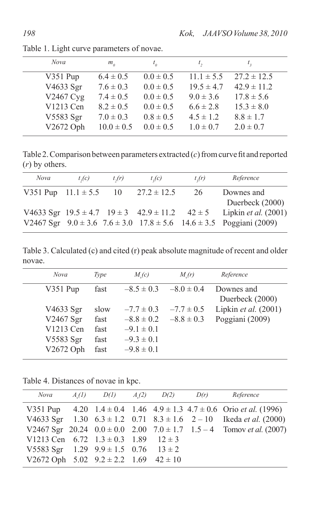| Nova      | $m_{\scriptscriptstyle n}$ |               | l <sub>2</sub> |                 |
|-----------|----------------------------|---------------|----------------|-----------------|
| V351 Pup  | $6.4 \pm 0.5$              | $0.0 \pm 0.5$ | $11.1 \pm 5.5$ | $27.2 \pm 12.5$ |
| V4633 Sgr | $7.6 \pm 0.3$              | $0.0 \pm 0.5$ | $19.5 \pm 4.7$ | $42.9 \pm 11.2$ |
| V2467 Cyg | $7.4 \pm 0.5$              | $0.0 \pm 0.5$ | $9.0 \pm 3.6$  | $17.8 \pm 5.6$  |
| V1213 Cen | $8.2 \pm 0.5$              | $0.0 \pm 0.5$ | $6.6 \pm 2.8$  | $15.3 \pm 8.0$  |
| V5583 Sgr | $7.0 \pm 0.3$              | $0.8 \pm 0.5$ | $4.5 \pm 1.2$  | $8.8 \pm 1.7$   |
| V2672 Oph | $10.0 \pm 0.5$             | $0.0 \pm 0.5$ | $1.0 \pm 0.7$  | $2.0 \pm 0.7$   |

Table 1. Light curve parameters of novae.

Table 2. Comparison between parameters extracted  $(c)$  from curve fit and reported (*r*) by others.

| Nova | $t_2(c)$ | $t_{\gamma}(r)$ | t,(c)                                                          | $t_{\gamma}(r)$ | Reference                                                                           |
|------|----------|-----------------|----------------------------------------------------------------|-----------------|-------------------------------------------------------------------------------------|
|      |          |                 | V351 Pup $11.1 \pm 5.5$ 10 $27.2 \pm 12.5$                     | 26              | Downes and                                                                          |
|      |          |                 |                                                                |                 | Duerbeck $(2000)$                                                                   |
|      |          |                 | V4633 Sgr $19.5 \pm 4.7$ $19 \pm 3$ $42.9 \pm 11.2$ $42 \pm 5$ |                 | Lipkin <i>et al.</i> (2001)                                                         |
|      |          |                 |                                                                |                 | V2467 Sgr $9.0 \pm 3.6$ 7.6 $\pm 3.0$ 17.8 $\pm 5.6$ 14.6 $\pm 3.5$ Poggiani (2009) |

Table 3. Calculated (c) and cited (r) peak absolute magnitude of recent and older novae.

| Nova                                                          | Type                                 | $M_c(c)$                                                                               | M(r)                             | Reference                               |
|---------------------------------------------------------------|--------------------------------------|----------------------------------------------------------------------------------------|----------------------------------|-----------------------------------------|
| $V351$ Pup                                                    | fast                                 | $-8.5 \pm 0.3$                                                                         | $-8.0 \pm 0.4$                   | Downes and<br>Duerbeck (2000)           |
| V4633 Sgr<br>V2467 Sgr<br>V1213 Cen<br>V5583 Sgr<br>V2672 Oph | slow<br>fast<br>fast<br>fast<br>fast | $-7.7 \pm 0.3$<br>$-8.8 \pm 0.2$<br>$-9.1 \pm 0.1$<br>$-9.3 \pm 0.1$<br>$-9.8 \pm 0.1$ | $-7.7 \pm 0.5$<br>$-8.8 \pm 0.3$ | Lipkin et al. (2001)<br>Poggiani (2009) |
|                                                               |                                      |                                                                                        |                                  |                                         |

Table 4. Distances of novae in kpc.

| Nova                                              | $A_n(1)$ $D(1)$ $A_n(2)$ $D(2)$ $D(r)$ |  | Reference                                                                                   |
|---------------------------------------------------|----------------------------------------|--|---------------------------------------------------------------------------------------------|
|                                                   |                                        |  | V351 Pup $4.20$ $1.4 \pm 0.4$ $1.46$ $4.9 \pm 1.3$ $4.7 \pm 0.6$ Orio <i>et al.</i> (1996)  |
|                                                   |                                        |  | V4633 Sgr $1.30 \t 6.3 \pm 1.2 \t 0.71 \t 8.3 \pm 1.6 \t 2 - 10$ Ikeda <i>et al.</i> (2000) |
|                                                   |                                        |  | V2467 Sgr 20.24 $0.0 \pm 0.0$ 2.00 $7.0 \pm 1.7$ 1.5 - 4 Tomov et al. (2007)                |
| V1213 Cen 6.72 $1.3 \pm 0.3$ 1.89 $12 \pm 3$      |                                        |  |                                                                                             |
| V5583 Sgr $1.29$ $9.9 \pm 1.5$ $0.76$ $13 \pm 2$  |                                        |  |                                                                                             |
| V2672 Oph $5.02$ $9.2 \pm 2.2$ $1.69$ $42 \pm 10$ |                                        |  |                                                                                             |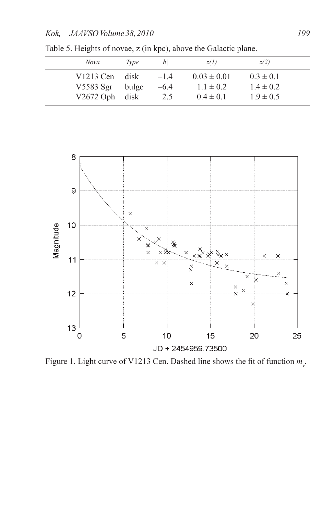| Nova                   | Type          | b               | z(l)                             | z(2)                           |  |
|------------------------|---------------|-----------------|----------------------------------|--------------------------------|--|
| V1213 Cen<br>V5583 Sgr | disk<br>bulge | $-14$<br>$-6.4$ | $0.03 \pm 0.01$<br>$1.1 \pm 0.2$ | $0.3 \pm 0.1$<br>$1.4 \pm 0.2$ |  |
| $V2672$ Oph            | disk          | 2.5             | $0.4 \pm 0.1$                    | $1.9 \pm 0.5$                  |  |

Table 5. Heights of novae, z (in kpc), above the Galactic plane.



Figure 1. Light curve of V1213 Cen. Dashed line shows the fit of function  $m_{v}$ .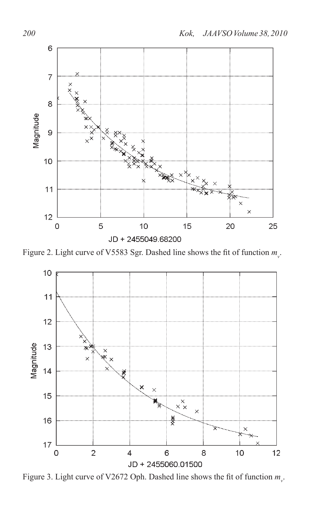

Figure 2. Light curve of V5583 Sgr. Dashed line shows the fit of function  $m_{v}$ .



Figure 3. Light curve of V2672 Oph. Dashed line shows the fit of function  $m_{v}$ .